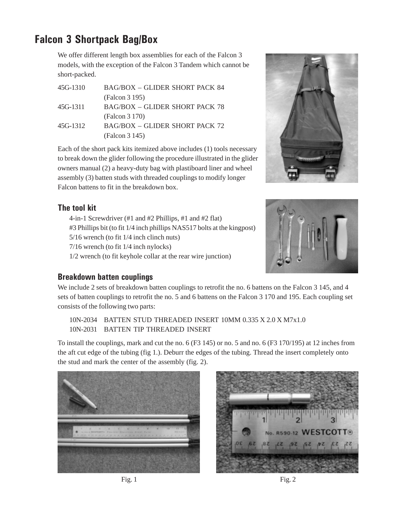## **Falcon 3 Shortpack Bag/Box**

We offer different length box assemblies for each of the Falcon 3 models, with the exception of the Falcon 3 Tandem which cannot be short-packed.

| <b>BAG/BOX - GLIDER SHORT PACK 84</b> |
|---------------------------------------|
| (Falcon 3 195)                        |
| BAG/BOX – GLIDER SHORT PACK 78        |
| (Falcon 3 170)                        |
| BAG/BOX – GLIDER SHORT PACK 72        |
| (Falcon 3 145)                        |
|                                       |

Each of the short pack kits itemized above includes (1) tools necessary to break down the glider following the procedure illustrated in the glider owners manual (2) a heavy-duty bag with plastiboard liner and wheel assembly (3) batten studs with threaded couplings to modify longer Falcon battens to fit in the breakdown box.



## **The tool kit**

4-in-1 Screwdriver (#1 and #2 Phillips, #1 and #2 flat) #3 Phillips bit (to fit 1/4 inch phillips NAS517 bolts at the kingpost) 5/16 wrench (to fit 1/4 inch clinch nuts) 7/16 wrench (to fit 1/4 inch nylocks) 1/2 wrench (to fit keyhole collar at the rear wire junction)



## **Breakdown batten couplings**

We include 2 sets of breakdown batten couplings to retrofit the no. 6 battens on the Falcon 3 145, and 4 sets of batten couplings to retrofit the no. 5 and 6 battens on the Falcon 3 170 and 195. Each coupling set consists of the following two parts:

10N-2034 BATTEN STUD THREADED INSERT 10MM 0.335 X 2.0 X M7x1.0 10N-2031 BATTEN TIP THREADED INSERT

To install the couplings, mark and cut the no. 6 (F3 145) or no. 5 and no. 6 (F3 170/195) at 12 inches from the aft cut edge of the tubing (fig 1.). Deburr the edges of the tubing. Thread the insert completely onto the stud and mark the center of the assembly (fig. 2).



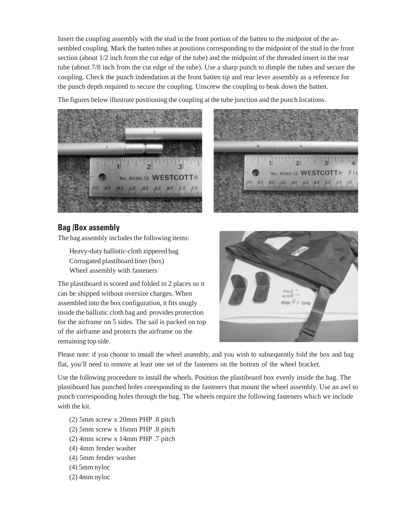Insert the coupling assembly with the stud in the front portion of the batten to the midpoint of the assembled coupling. Mark the batten tubes at positions corresponding to the midpoint of the stud in the front section (about 1/2 inch from the cut edge of the tube) and the midpoint of the threaded insert in the rear tube (about 7/8 inch from the cut edge of the tube). Use a sharp punch to dimple the tubes and secure the coupling. Check the punch indendation at the front batten tip and rear lever assembly as a reference for the punch depth required to secure the coupling. Unscrew the coupling to beak down the batten.

The figures below illustrate positioning the coupling at the tube junction and the punch locations.





## **Bag /Box assembly**

The bag assembly includes the following items:

Heavy-duty ballistic-cloth zippered bag Corrugated plastiboard liner (box) Wheel assembly with fasteners

The plastiboard is scored and folded in 2 places so it can be shipped without oversize charges. When assembled into the box configuration, it fits snugly inside the ballistic cloth bag and provides protection for the airframe on 5 sides. The sail is packed on top of the airframe and protects the airframe on the remaining top side.



Please note: if you choose to install the wheel assembly, and you wish to subsequently fold the box and bag flat, you'll need to remove at least one set of the fasteners on the bottom of the wheel bracket.

Use the following proceedure to install the wheels. Position the plastiboard box evenly inside the bag. The plastiboard has punched holes coresponding to the fasteners that mount the wheel assembly. Use an awl to punch corresponding holes through the bag. The wheels require the following fasteners which we include with the kit.

- (2) 5mm screw x 20mm PHP .8 pitch
- (2) 5mm screw x 16mm PHP .8 pitch
- (2) 4mm screw x 14mm PHP .7 pitch
- (4) 4mm fender washer
- (4) 5mm fender washer
- (4) 5mm nyloc
- (2) 4mm nyloc